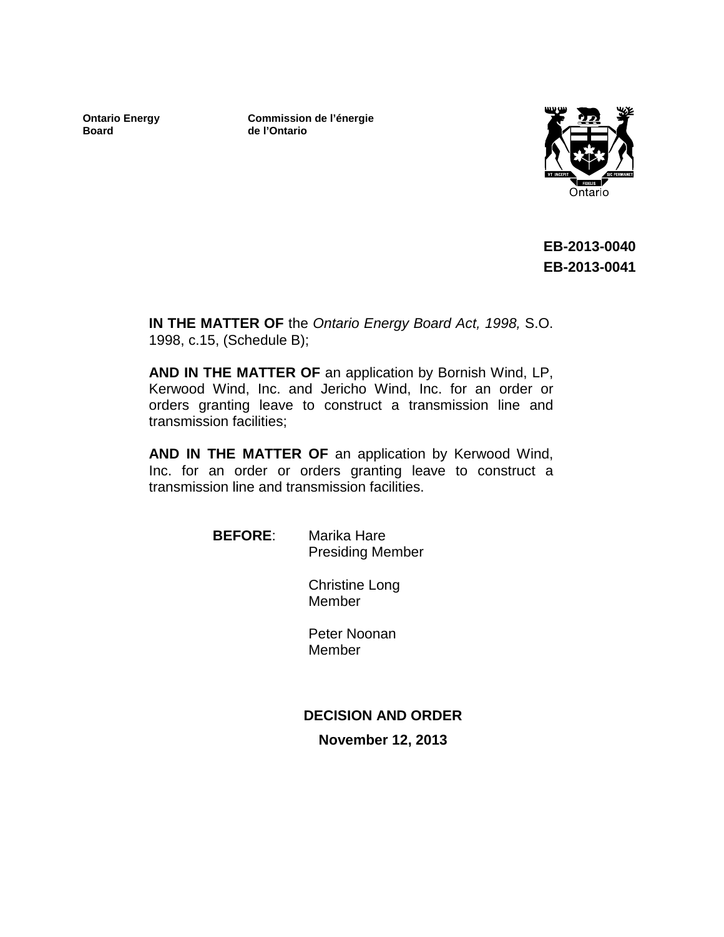**Ontario Energy Board**

**Commission de l'énergie de l'Ontario**



**EB-2013-0040 EB-2013-0041**

**IN THE MATTER OF** the *Ontario Energy Board Act, 1998,* S.O. 1998, c.15, (Schedule B);

**AND IN THE MATTER OF** an application by Bornish Wind, LP, Kerwood Wind, Inc. and Jericho Wind, Inc. for an order or orders granting leave to construct a transmission line and transmission facilities;

**AND IN THE MATTER OF** an application by Kerwood Wind, Inc. for an order or orders granting leave to construct a transmission line and transmission facilities.

> **BEFORE**: Marika Hare Presiding Member

> > Christine Long Member

Peter Noonan Member

## **DECISION AND ORDER**

**November 12, 2013**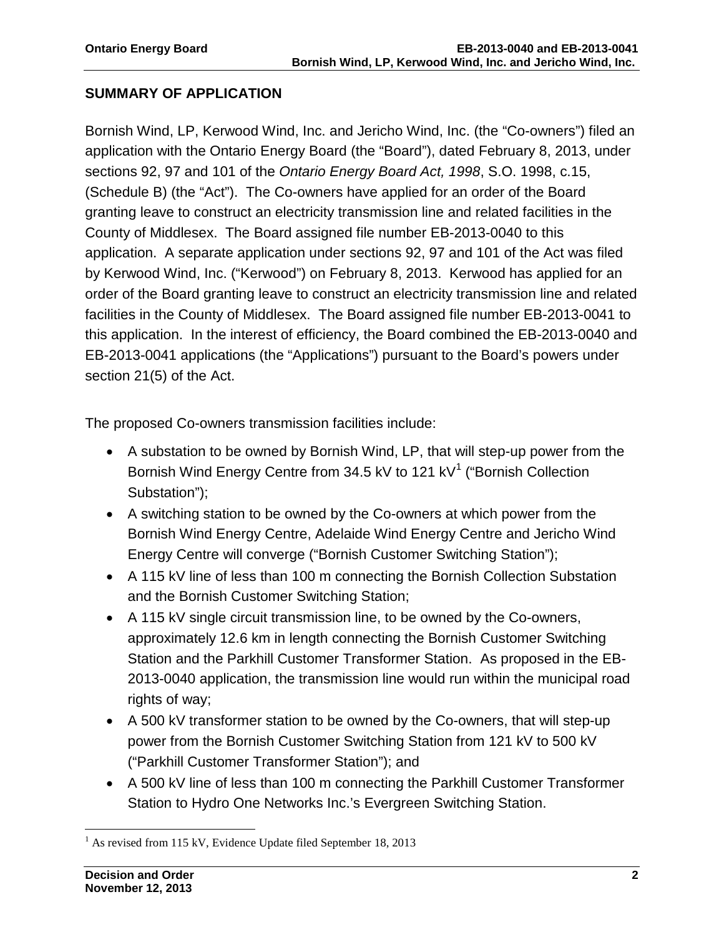## **SUMMARY OF APPLICATION**

Bornish Wind, LP, Kerwood Wind, Inc. and Jericho Wind, Inc. (the "Co-owners") filed an application with the Ontario Energy Board (the "Board"), dated February 8, 2013, under sections 92, 97 and 101 of the *Ontario Energy Board Act, 1998*, S.O. 1998, c.15, (Schedule B) (the "Act"). The Co-owners have applied for an order of the Board granting leave to construct an electricity transmission line and related facilities in the County of Middlesex. The Board assigned file number EB-2013-0040 to this application. A separate application under sections 92, 97 and 101 of the Act was filed by Kerwood Wind, Inc. ("Kerwood") on February 8, 2013. Kerwood has applied for an order of the Board granting leave to construct an electricity transmission line and related facilities in the County of Middlesex. The Board assigned file number EB-2013-0041 to this application. In the interest of efficiency, the Board combined the EB-2013-0040 and EB-2013-0041 applications (the "Applications") pursuant to the Board's powers under section 21(5) of the Act.

The proposed Co-owners transmission facilities include:

- A substation to be owned by Bornish Wind, LP, that will step-up power from the Bornish Wind Energy Centre from 34.5 kV to [1](#page-1-0)21 kV<sup>1</sup> ("Bornish Collection Substation");
- A switching station to be owned by the Co-owners at which power from the Bornish Wind Energy Centre, Adelaide Wind Energy Centre and Jericho Wind Energy Centre will converge ("Bornish Customer Switching Station");
- A 115 kV line of less than 100 m connecting the Bornish Collection Substation and the Bornish Customer Switching Station;
- A 115 kV single circuit transmission line, to be owned by the Co-owners, approximately 12.6 km in length connecting the Bornish Customer Switching Station and the Parkhill Customer Transformer Station. As proposed in the EB-2013-0040 application, the transmission line would run within the municipal road rights of way;
- A 500 kV transformer station to be owned by the Co-owners, that will step-up power from the Bornish Customer Switching Station from 121 kV to 500 kV ("Parkhill Customer Transformer Station"); and
- A 500 kV line of less than 100 m connecting the Parkhill Customer Transformer Station to Hydro One Networks Inc.'s Evergreen Switching Station.

<span id="page-1-0"></span><sup>&</sup>lt;sup>1</sup> As revised from 115 kV, Evidence Update filed September 18, 2013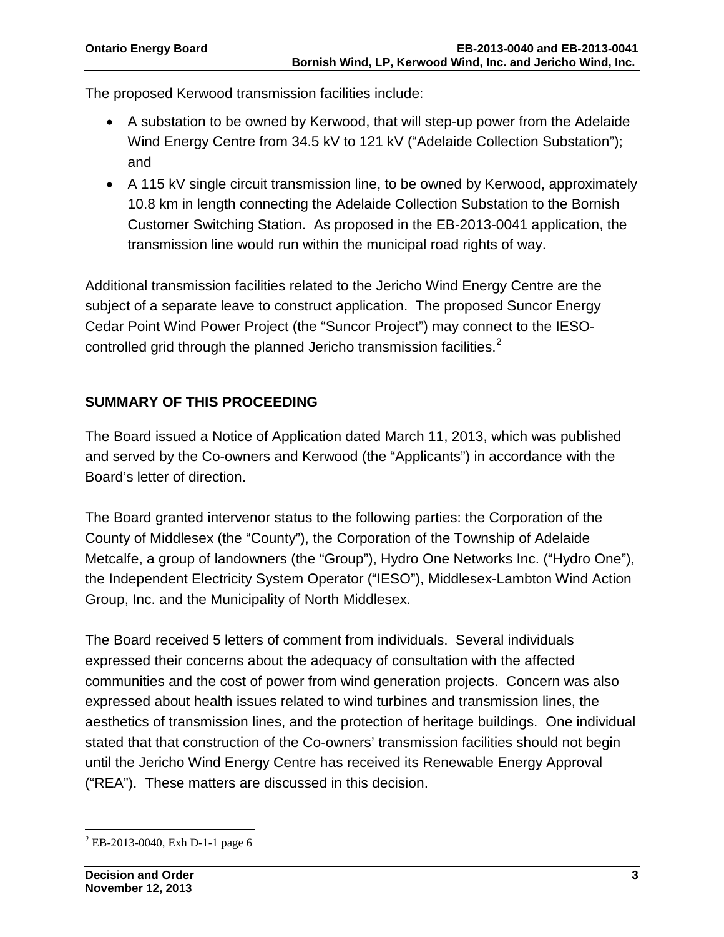The proposed Kerwood transmission facilities include:

- A substation to be owned by Kerwood, that will step-up power from the Adelaide Wind Energy Centre from 34.5 kV to 121 kV ("Adelaide Collection Substation"); and
- A 115 kV single circuit transmission line, to be owned by Kerwood, approximately 10.8 km in length connecting the Adelaide Collection Substation to the Bornish Customer Switching Station. As proposed in the EB-2013-0041 application, the transmission line would run within the municipal road rights of way.

Additional transmission facilities related to the Jericho Wind Energy Centre are the subject of a separate leave to construct application. The proposed Suncor Energy Cedar Point Wind Power Project (the "Suncor Project") may connect to the IESO-controlled grid through the planned Jericho transmission facilities.<sup>[2](#page-2-0)</sup>

# **SUMMARY OF THIS PROCEEDING**

The Board issued a Notice of Application dated March 11, 2013, which was published and served by the Co-owners and Kerwood (the "Applicants") in accordance with the Board's letter of direction.

The Board granted intervenor status to the following parties: the Corporation of the County of Middlesex (the "County"), the Corporation of the Township of Adelaide Metcalfe, a group of landowners (the "Group"), Hydro One Networks Inc. ("Hydro One"), the Independent Electricity System Operator ("IESO"), Middlesex-Lambton Wind Action Group, Inc. and the Municipality of North Middlesex.

The Board received 5 letters of comment from individuals. Several individuals expressed their concerns about the adequacy of consultation with the affected communities and the cost of power from wind generation projects. Concern was also expressed about health issues related to wind turbines and transmission lines, the aesthetics of transmission lines, and the protection of heritage buildings. One individual stated that that construction of the Co-owners' transmission facilities should not begin until the Jericho Wind Energy Centre has received its Renewable Energy Approval ("REA"). These matters are discussed in this decision.

<span id="page-2-0"></span> <sup>2</sup> EB-2013-0040, Exh D-1-1 page 6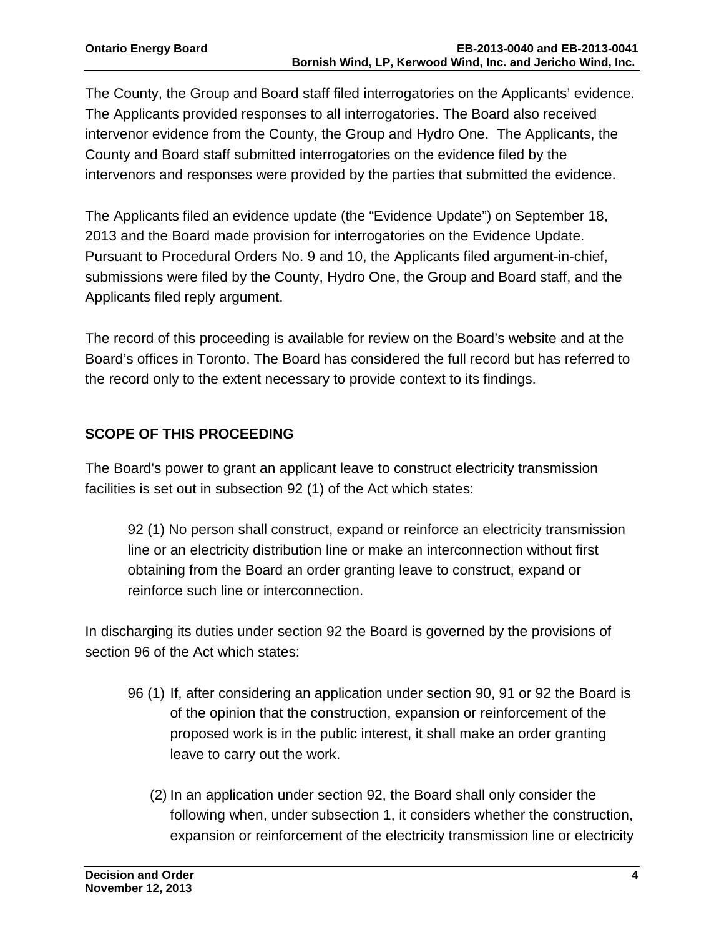The County, the Group and Board staff filed interrogatories on the Applicants' evidence. The Applicants provided responses to all interrogatories. The Board also received intervenor evidence from the County, the Group and Hydro One. The Applicants, the County and Board staff submitted interrogatories on the evidence filed by the intervenors and responses were provided by the parties that submitted the evidence.

The Applicants filed an evidence update (the "Evidence Update") on September 18, 2013 and the Board made provision for interrogatories on the Evidence Update. Pursuant to Procedural Orders No. 9 and 10, the Applicants filed argument-in-chief, submissions were filed by the County, Hydro One, the Group and Board staff, and the Applicants filed reply argument.

The record of this proceeding is available for review on the Board's website and at the Board's offices in Toronto. The Board has considered the full record but has referred to the record only to the extent necessary to provide context to its findings.

# **SCOPE OF THIS PROCEEDING**

The Board's power to grant an applicant leave to construct electricity transmission facilities is set out in subsection 92 (1) of the Act which states:

92 (1) No person shall construct, expand or reinforce an electricity transmission line or an electricity distribution line or make an interconnection without first obtaining from the Board an order granting leave to construct, expand or reinforce such line or interconnection.

In discharging its duties under section 92 the Board is governed by the provisions of section 96 of the Act which states:

- 96 (1) If, after considering an application under section 90, 91 or 92 the Board is of the opinion that the construction, expansion or reinforcement of the proposed work is in the public interest, it shall make an order granting leave to carry out the work.
	- (2) In an application under section 92, the Board shall only consider the following when, under subsection 1, it considers whether the construction, expansion or reinforcement of the electricity transmission line or electricity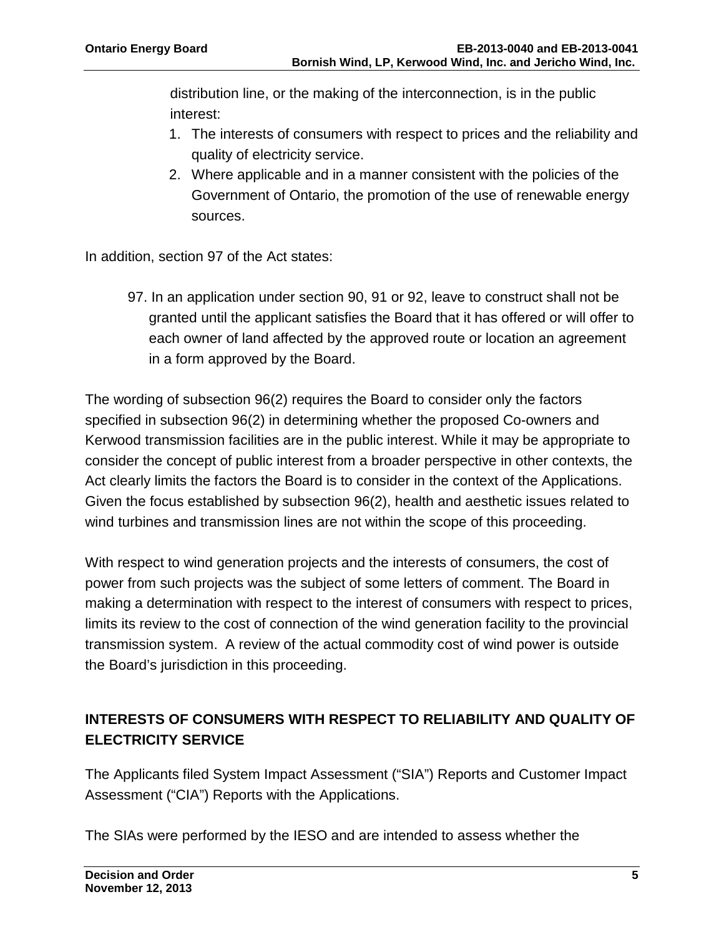distribution line, or the making of the interconnection, is in the public interest:

- 1. The interests of consumers with respect to prices and the reliability and quality of electricity service.
- 2. Where applicable and in a manner consistent with the policies of the Government of Ontario, the promotion of the use of renewable energy sources.

In addition, section 97 of the Act states:

97. In an application under section 90, 91 or 92, leave to construct shall not be granted until the applicant satisfies the Board that it has offered or will offer to each owner of land affected by the approved route or location an agreement in a form approved by the Board.

The wording of subsection 96(2) requires the Board to consider only the factors specified in subsection 96(2) in determining whether the proposed Co-owners and Kerwood transmission facilities are in the public interest. While it may be appropriate to consider the concept of public interest from a broader perspective in other contexts, the Act clearly limits the factors the Board is to consider in the context of the Applications. Given the focus established by subsection 96(2), health and aesthetic issues related to wind turbines and transmission lines are not within the scope of this proceeding.

With respect to wind generation projects and the interests of consumers, the cost of power from such projects was the subject of some letters of comment. The Board in making a determination with respect to the interest of consumers with respect to prices, limits its review to the cost of connection of the wind generation facility to the provincial transmission system. A review of the actual commodity cost of wind power is outside the Board's jurisdiction in this proceeding.

# **INTERESTS OF CONSUMERS WITH RESPECT TO RELIABILITY AND QUALITY OF ELECTRICITY SERVICE**

The Applicants filed System Impact Assessment ("SIA") Reports and Customer Impact Assessment ("CIA") Reports with the Applications.

The SIAs were performed by the IESO and are intended to assess whether the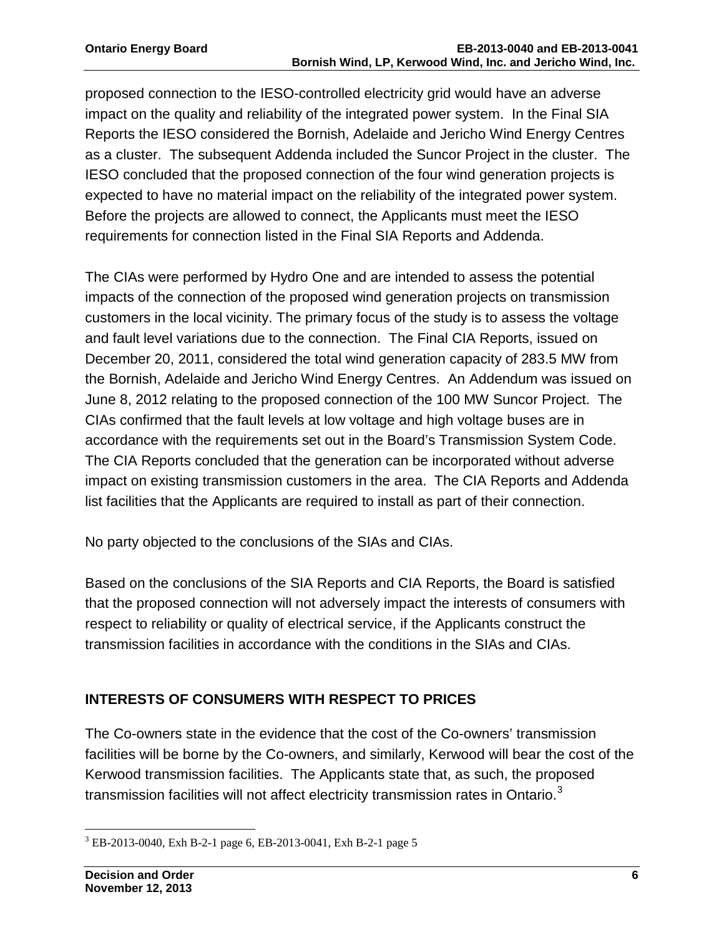proposed connection to the IESO-controlled electricity grid would have an adverse impact on the quality and reliability of the integrated power system. In the Final SIA Reports the IESO considered the Bornish, Adelaide and Jericho Wind Energy Centres as a cluster. The subsequent Addenda included the Suncor Project in the cluster. The IESO concluded that the proposed connection of the four wind generation projects is expected to have no material impact on the reliability of the integrated power system. Before the projects are allowed to connect, the Applicants must meet the IESO requirements for connection listed in the Final SIA Reports and Addenda.

The CIAs were performed by Hydro One and are intended to assess the potential impacts of the connection of the proposed wind generation projects on transmission customers in the local vicinity. The primary focus of the study is to assess the voltage and fault level variations due to the connection. The Final CIA Reports, issued on December 20, 2011, considered the total wind generation capacity of 283.5 MW from the Bornish, Adelaide and Jericho Wind Energy Centres. An Addendum was issued on June 8, 2012 relating to the proposed connection of the 100 MW Suncor Project. The CIAs confirmed that the fault levels at low voltage and high voltage buses are in accordance with the requirements set out in the Board's Transmission System Code. The CIA Reports concluded that the generation can be incorporated without adverse impact on existing transmission customers in the area. The CIA Reports and Addenda list facilities that the Applicants are required to install as part of their connection.

No party objected to the conclusions of the SIAs and CIAs.

Based on the conclusions of the SIA Reports and CIA Reports, the Board is satisfied that the proposed connection will not adversely impact the interests of consumers with respect to reliability or quality of electrical service, if the Applicants construct the transmission facilities in accordance with the conditions in the SIAs and CIAs.

## **INTERESTS OF CONSUMERS WITH RESPECT TO PRICES**

The Co-owners state in the evidence that the cost of the Co-owners' transmission facilities will be borne by the Co-owners, and similarly, Kerwood will bear the cost of the Kerwood transmission facilities. The Applicants state that, as such, the proposed transmission facilities will not affect electricity transmission rates in Ontario. $3$ 

<span id="page-5-0"></span> <sup>3</sup> EB-2013-0040, Exh B-2-1 page 6, EB-2013-0041, Exh B-2-1 page 5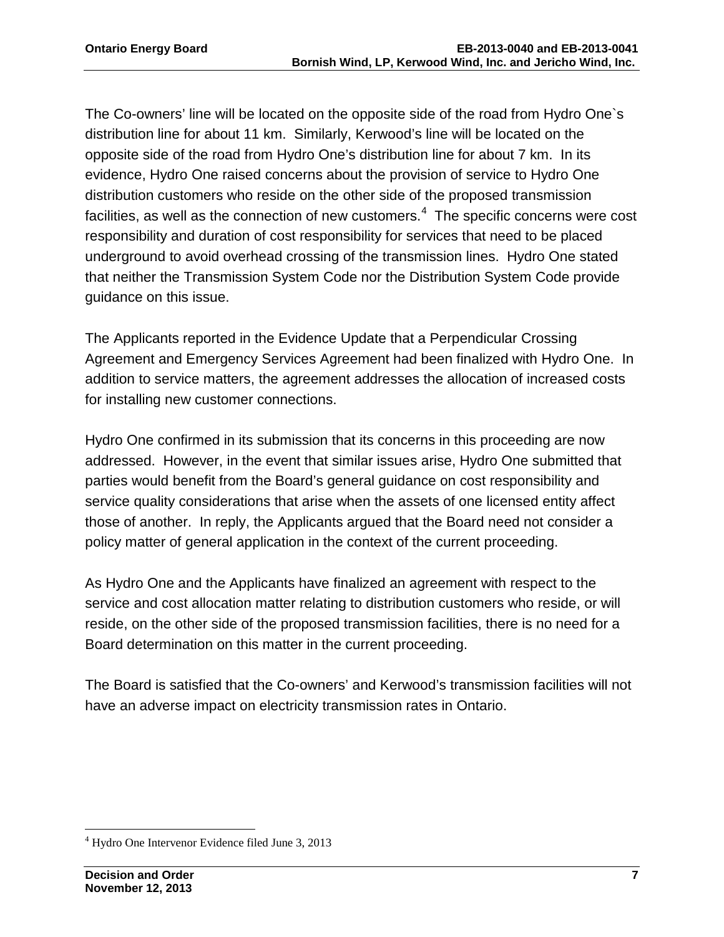The Co-owners' line will be located on the opposite side of the road from Hydro One`s distribution line for about 11 km. Similarly, Kerwood's line will be located on the opposite side of the road from Hydro One's distribution line for about 7 km. In its evidence, Hydro One raised concerns about the provision of service to Hydro One distribution customers who reside on the other side of the proposed transmission facilities, as well as the connection of new customers. $4$  The specific concerns were cost responsibility and duration of cost responsibility for services that need to be placed underground to avoid overhead crossing of the transmission lines. Hydro One stated that neither the Transmission System Code nor the Distribution System Code provide guidance on this issue.

The Applicants reported in the Evidence Update that a Perpendicular Crossing Agreement and Emergency Services Agreement had been finalized with Hydro One. In addition to service matters, the agreement addresses the allocation of increased costs for installing new customer connections.

Hydro One confirmed in its submission that its concerns in this proceeding are now addressed. However, in the event that similar issues arise, Hydro One submitted that parties would benefit from the Board's general guidance on cost responsibility and service quality considerations that arise when the assets of one licensed entity affect those of another. In reply, the Applicants argued that the Board need not consider a policy matter of general application in the context of the current proceeding.

As Hydro One and the Applicants have finalized an agreement with respect to the service and cost allocation matter relating to distribution customers who reside, or will reside, on the other side of the proposed transmission facilities, there is no need for a Board determination on this matter in the current proceeding.

The Board is satisfied that the Co-owners' and Kerwood's transmission facilities will not have an adverse impact on electricity transmission rates in Ontario.

<span id="page-6-0"></span> <sup>4</sup> Hydro One Intervenor Evidence filed June 3, 2013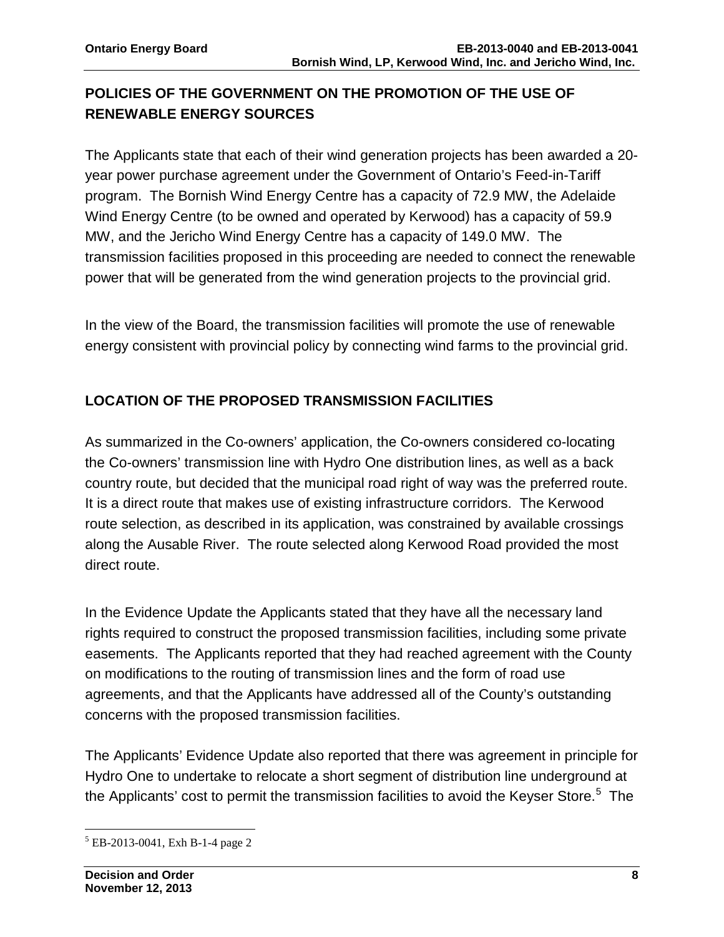# **POLICIES OF THE GOVERNMENT ON THE PROMOTION OF THE USE OF RENEWABLE ENERGY SOURCES**

The Applicants state that each of their wind generation projects has been awarded a 20 year power purchase agreement under the Government of Ontario's Feed-in-Tariff program. The Bornish Wind Energy Centre has a capacity of 72.9 MW, the Adelaide Wind Energy Centre (to be owned and operated by Kerwood) has a capacity of 59.9 MW, and the Jericho Wind Energy Centre has a capacity of 149.0 MW. The transmission facilities proposed in this proceeding are needed to connect the renewable power that will be generated from the wind generation projects to the provincial grid.

In the view of the Board, the transmission facilities will promote the use of renewable energy consistent with provincial policy by connecting wind farms to the provincial grid.

# **LOCATION OF THE PROPOSED TRANSMISSION FACILITIES**

As summarized in the Co-owners' application, the Co-owners considered co-locating the Co-owners' transmission line with Hydro One distribution lines, as well as a back country route, but decided that the municipal road right of way was the preferred route. It is a direct route that makes use of existing infrastructure corridors. The Kerwood route selection, as described in its application, was constrained by available crossings along the Ausable River. The route selected along Kerwood Road provided the most direct route.

In the Evidence Update the Applicants stated that they have all the necessary land rights required to construct the proposed transmission facilities, including some private easements. The Applicants reported that they had reached agreement with the County on modifications to the routing of transmission lines and the form of road use agreements, and that the Applicants have addressed all of the County's outstanding concerns with the proposed transmission facilities.

The Applicants' Evidence Update also reported that there was agreement in principle for Hydro One to undertake to relocate a short segment of distribution line underground at the Applicants' cost to permit the transmission facilities to avoid the Keyser Store. $5$  The

<span id="page-7-0"></span> <sup>5</sup> EB-2013-0041, Exh B-1-4 page 2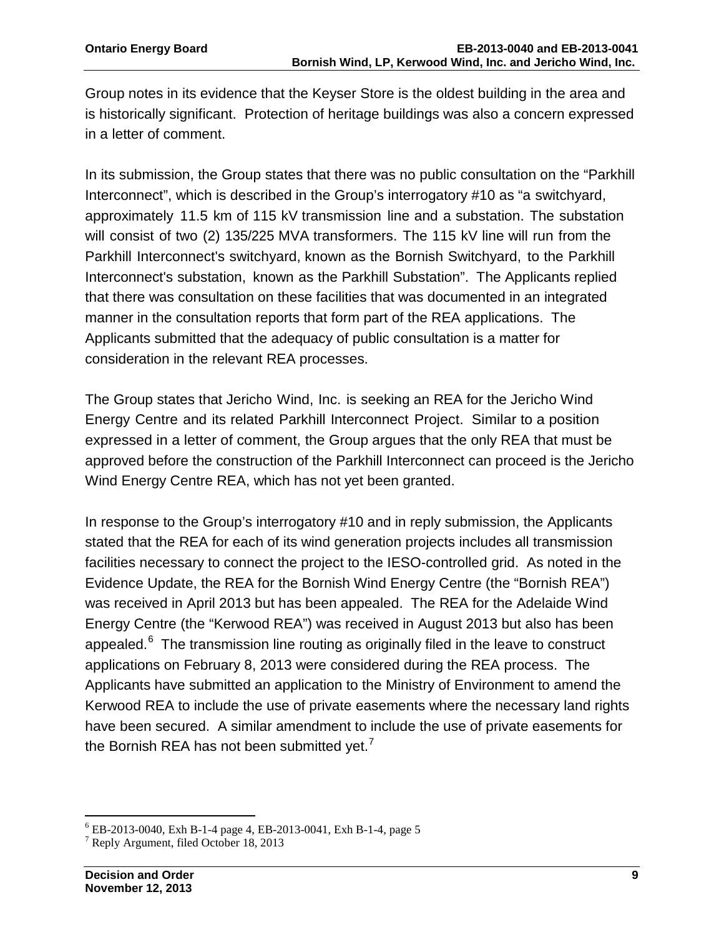Group notes in its evidence that the Keyser Store is the oldest building in the area and is historically significant. Protection of heritage buildings was also a concern expressed in a letter of comment.

In its submission, the Group states that there was no public consultation on the "Parkhill Interconnect", which is described in the Group's interrogatory #10 as "a switchyard, approximately 11.5 km of 115 kV transmission line and a substation. The substation will consist of two (2) 135/225 MVA transformers. The 115 kV line will run from the Parkhill Interconnect's switchyard, known as the Bornish Switchyard, to the Parkhill Interconnect's substation, known as the Parkhill Substation". The Applicants replied that there was consultation on these facilities that was documented in an integrated manner in the consultation reports that form part of the REA applications. The Applicants submitted that the adequacy of public consultation is a matter for consideration in the relevant REA processes.

The Group states that Jericho Wind, Inc. is seeking an REA for the Jericho Wind Energy Centre and its related Parkhill Interconnect Project. Similar to a position expressed in a letter of comment, the Group argues that the only REA that must be approved before the construction of the Parkhill Interconnect can proceed is the Jericho Wind Energy Centre REA, which has not yet been granted.

In response to the Group's interrogatory #10 and in reply submission, the Applicants stated that the REA for each of its wind generation projects includes all transmission facilities necessary to connect the project to the IESO-controlled grid. As noted in the Evidence Update, the REA for the Bornish Wind Energy Centre (the "Bornish REA") was received in April 2013 but has been appealed. The REA for the Adelaide Wind Energy Centre (the "Kerwood REA") was received in August 2013 but also has been appealed.<sup>[6](#page-8-0)</sup> The transmission line routing as originally filed in the leave to construct applications on February 8, 2013 were considered during the REA process. The Applicants have submitted an application to the Ministry of Environment to amend the Kerwood REA to include the use of private easements where the necessary land rights have been secured. A similar amendment to include the use of private easements for the Bornish REA has not been submitted yet. $<sup>7</sup>$  $<sup>7</sup>$  $<sup>7</sup>$ </sup>

<span id="page-8-0"></span> $^6$  EB-2013-0040, Exh B-1-4 page 4, EB-2013-0041, Exh B-1-4, page 5 $^7$  Reply Argument, filed October 18, 2013

<span id="page-8-1"></span>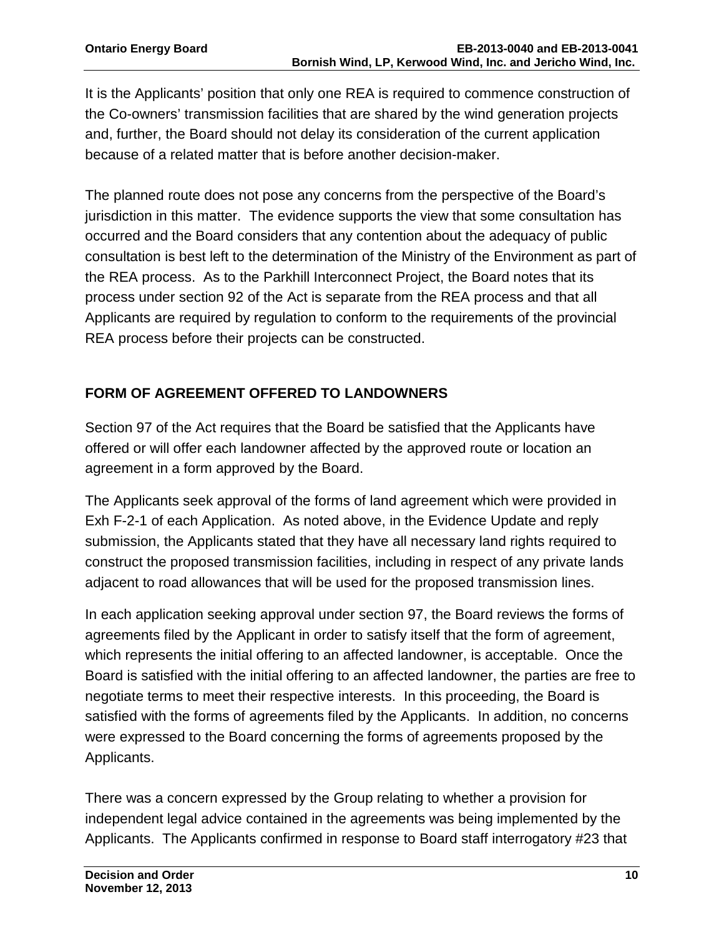It is the Applicants' position that only one REA is required to commence construction of the Co-owners' transmission facilities that are shared by the wind generation projects and, further, the Board should not delay its consideration of the current application because of a related matter that is before another decision-maker.

The planned route does not pose any concerns from the perspective of the Board's jurisdiction in this matter. The evidence supports the view that some consultation has occurred and the Board considers that any contention about the adequacy of public consultation is best left to the determination of the Ministry of the Environment as part of the REA process. As to the Parkhill Interconnect Project, the Board notes that its process under section 92 of the Act is separate from the REA process and that all Applicants are required by regulation to conform to the requirements of the provincial REA process before their projects can be constructed.

# **FORM OF AGREEMENT OFFERED TO LANDOWNERS**

Section 97 of the Act requires that the Board be satisfied that the Applicants have offered or will offer each landowner affected by the approved route or location an agreement in a form approved by the Board.

The Applicants seek approval of the forms of land agreement which were provided in Exh F-2-1 of each Application. As noted above, in the Evidence Update and reply submission, the Applicants stated that they have all necessary land rights required to construct the proposed transmission facilities, including in respect of any private lands adjacent to road allowances that will be used for the proposed transmission lines.

In each application seeking approval under section 97, the Board reviews the forms of agreements filed by the Applicant in order to satisfy itself that the form of agreement, which represents the initial offering to an affected landowner, is acceptable. Once the Board is satisfied with the initial offering to an affected landowner, the parties are free to negotiate terms to meet their respective interests. In this proceeding, the Board is satisfied with the forms of agreements filed by the Applicants. In addition, no concerns were expressed to the Board concerning the forms of agreements proposed by the Applicants.

There was a concern expressed by the Group relating to whether a provision for independent legal advice contained in the agreements was being implemented by the Applicants. The Applicants confirmed in response to Board staff interrogatory #23 that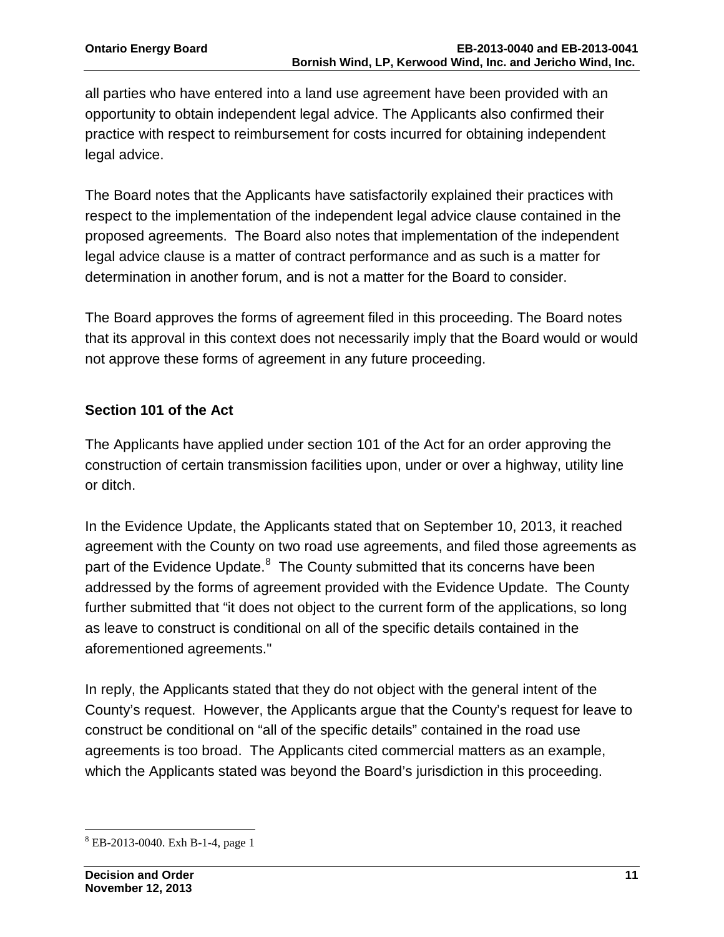all parties who have entered into a land use agreement have been provided with an opportunity to obtain independent legal advice. The Applicants also confirmed their practice with respect to reimbursement for costs incurred for obtaining independent legal advice.

The Board notes that the Applicants have satisfactorily explained their practices with respect to the implementation of the independent legal advice clause contained in the proposed agreements. The Board also notes that implementation of the independent legal advice clause is a matter of contract performance and as such is a matter for determination in another forum, and is not a matter for the Board to consider.

The Board approves the forms of agreement filed in this proceeding. The Board notes that its approval in this context does not necessarily imply that the Board would or would not approve these forms of agreement in any future proceeding.

## **Section 101 of the Act**

The Applicants have applied under section 101 of the Act for an order approving the construction of certain transmission facilities upon, under or over a highway, utility line or ditch.

In the Evidence Update, the Applicants stated that on September 10, 2013, it reached agreement with the County on two road use agreements, and filed those agreements as part of the Evidence Update.<sup>[8](#page-10-0)</sup> The County submitted that its concerns have been addressed by the forms of agreement provided with the Evidence Update. The County further submitted that "it does not object to the current form of the applications, so long as leave to construct is conditional on all of the specific details contained in the aforementioned agreements."

In reply, the Applicants stated that they do not object with the general intent of the County's request. However, the Applicants argue that the County's request for leave to construct be conditional on "all of the specific details" contained in the road use agreements is too broad. The Applicants cited commercial matters as an example, which the Applicants stated was beyond the Board's jurisdiction in this proceeding.

<span id="page-10-0"></span> <sup>8</sup> EB-2013-0040. Exh B-1-4, page 1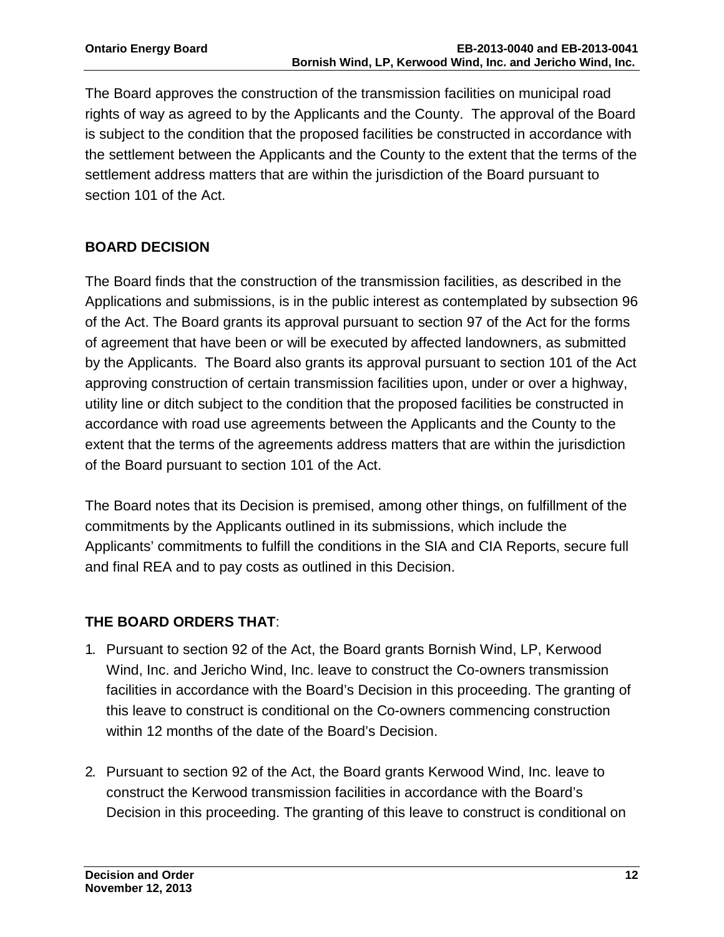The Board approves the construction of the transmission facilities on municipal road rights of way as agreed to by the Applicants and the County. The approval of the Board is subject to the condition that the proposed facilities be constructed in accordance with the settlement between the Applicants and the County to the extent that the terms of the settlement address matters that are within the jurisdiction of the Board pursuant to section 101 of the Act.

# **BOARD DECISION**

The Board finds that the construction of the transmission facilities, as described in the Applications and submissions, is in the public interest as contemplated by subsection 96 of the Act. The Board grants its approval pursuant to section 97 of the Act for the forms of agreement that have been or will be executed by affected landowners, as submitted by the Applicants. The Board also grants its approval pursuant to section 101 of the Act approving construction of certain transmission facilities upon, under or over a highway, utility line or ditch subject to the condition that the proposed facilities be constructed in accordance with road use agreements between the Applicants and the County to the extent that the terms of the agreements address matters that are within the jurisdiction of the Board pursuant to section 101 of the Act.

The Board notes that its Decision is premised, among other things, on fulfillment of the commitments by the Applicants outlined in its submissions, which include the Applicants' commitments to fulfill the conditions in the SIA and CIA Reports, secure full and final REA and to pay costs as outlined in this Decision.

# **THE BOARD ORDERS THAT**:

- 1. Pursuant to section 92 of the Act, the Board grants Bornish Wind, LP, Kerwood Wind, Inc. and Jericho Wind, Inc. leave to construct the Co-owners transmission facilities in accordance with the Board's Decision in this proceeding. The granting of this leave to construct is conditional on the Co-owners commencing construction within 12 months of the date of the Board's Decision.
- 2. Pursuant to section 92 of the Act, the Board grants Kerwood Wind, Inc. leave to construct the Kerwood transmission facilities in accordance with the Board's Decision in this proceeding. The granting of this leave to construct is conditional on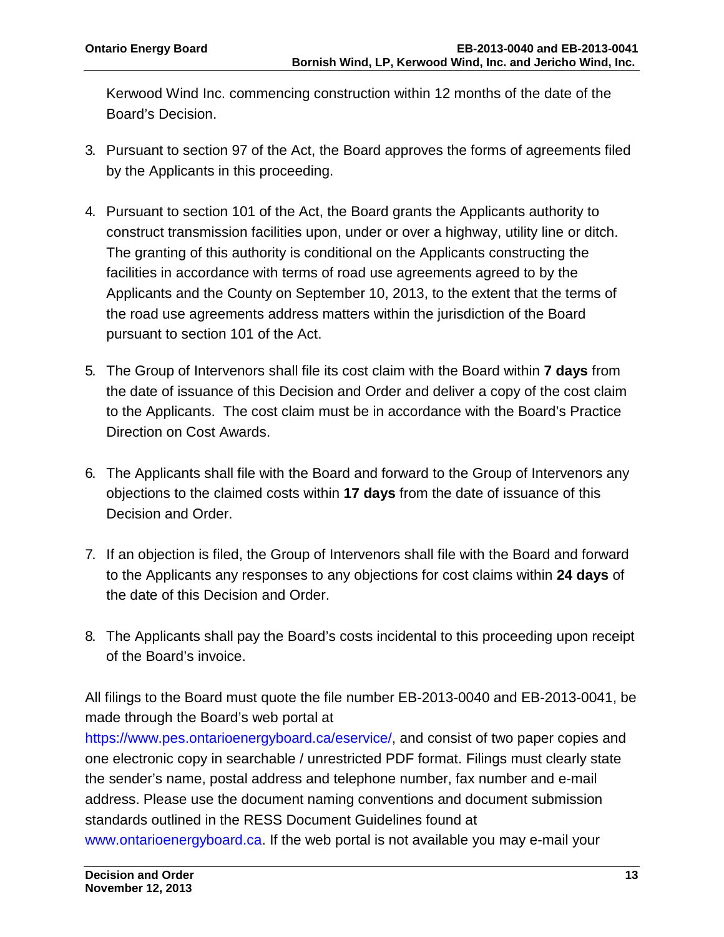Kerwood Wind Inc. commencing construction within 12 months of the date of the Board's Decision.

- 3. Pursuant to section 97 of the Act, the Board approves the forms of agreements filed by the Applicants in this proceeding.
- 4. Pursuant to section 101 of the Act, the Board grants the Applicants authority to construct transmission facilities upon, under or over a highway, utility line or ditch. The granting of this authority is conditional on the Applicants constructing the facilities in accordance with terms of road use agreements agreed to by the Applicants and the County on September 10, 2013, to the extent that the terms of the road use agreements address matters within the jurisdiction of the Board pursuant to section 101 of the Act.
- 5. The Group of Intervenors shall file its cost claim with the Board within **7 days** from the date of issuance of this Decision and Order and deliver a copy of the cost claim to the Applicants. The cost claim must be in accordance with the Board's Practice Direction on Cost Awards.
- 6. The Applicants shall file with the Board and forward to the Group of Intervenors any objections to the claimed costs within **17 days** from the date of issuance of this Decision and Order.
- 7. If an objection is filed, the Group of Intervenors shall file with the Board and forward to the Applicants any responses to any objections for cost claims within **24 days** of the date of this Decision and Order.
- 8. The Applicants shall pay the Board's costs incidental to this proceeding upon receipt of the Board's invoice.

All filings to the Board must quote the file number EB-2013-0040 and EB-2013-0041, be made through the Board's web portal at

https://www.pes.ontarioenergyboard.ca/eservice/, and consist of two paper copies and one electronic copy in searchable / unrestricted PDF format. Filings must clearly state the sender's name, postal address and telephone number, fax number and e-mail address. Please use the document naming conventions and document submission standards outlined in the RESS Document Guidelines found at www.ontarioenergyboard.ca. If the web portal is not available you may e-mail your